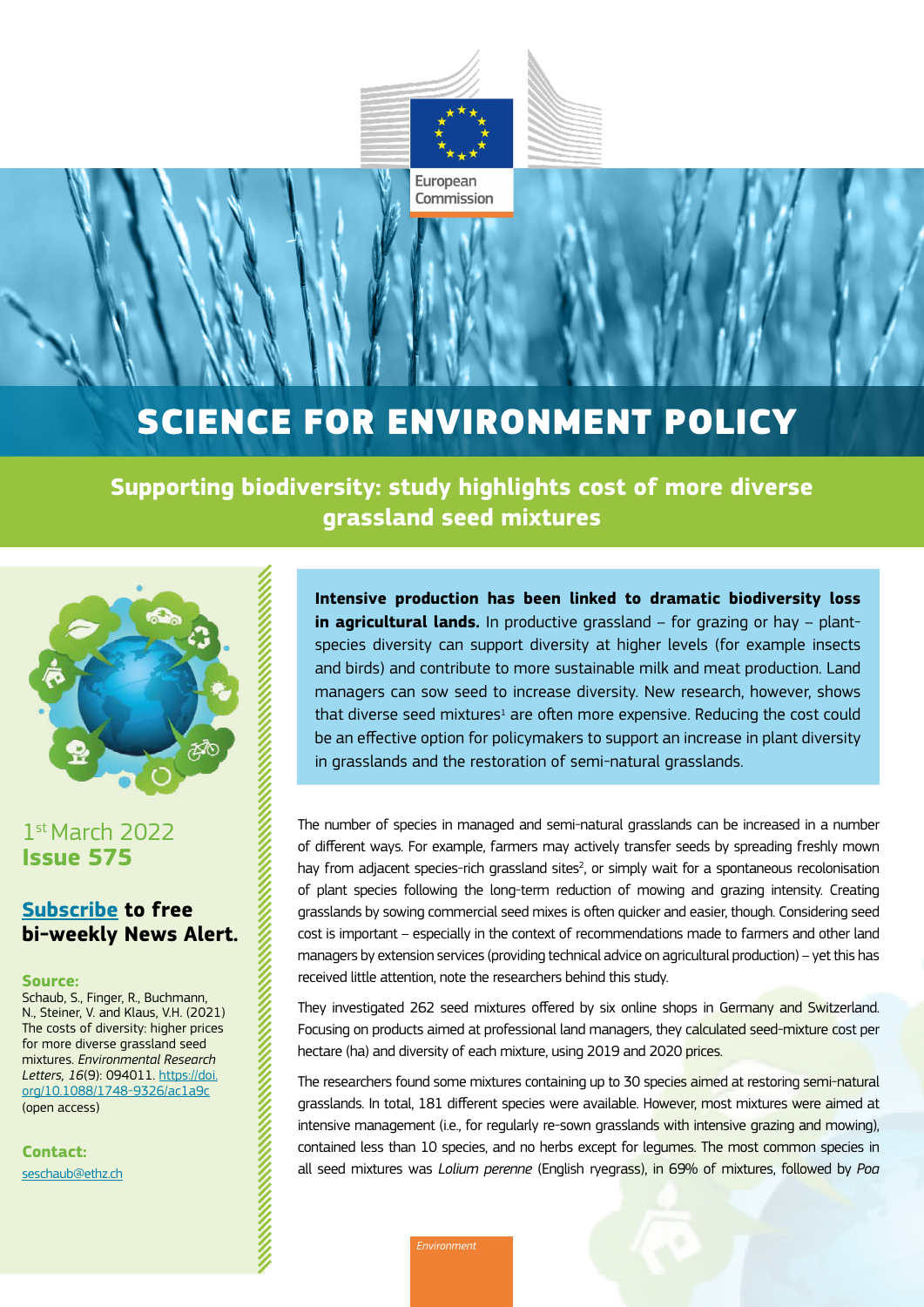

European Commission

# SCIENCE FOR ENVIRONMENT POLICY

**Supporting biodiversity: study highlights cost of more diverse grassland seed mixtures** 



## 1st March 2022 **Issue 575**

### **[Subscribe](https://ec.europa.eu/newsroom/env/userprofile.cfm?profileAction=edit&user_id=0&service_id=1701&lang=default) to free bi-weekly News Alert.**

### **Source:**

Schaub, S., Finger, R., Buchmann, N., Steiner, V. and Klaus, V.H. (2021) The costs of diversity: higher prices for more diverse grassland seed mixtures. *Environmental Research Letters, 16*(9): 094011. [https://doi.](https://doi.org/10.1088/1748-9326/ac1a9c) [org/10.1088/1748-9326/ac1a9c](https://doi.org/10.1088/1748-9326/ac1a9c) (open access)

**Contact:** [seschaub@ethz.ch](mailto:seschaub%40ethz.ch?subject=) **Intensive production has been linked to dramatic biodiversity loss in agricultural lands.** In productive grassland – for grazing or hay – plantspecies diversity can support diversity at higher levels (for example insects and birds) and contribute to more sustainable milk and meat production. Land managers can sow seed to increase diversity. New research, however, shows that diverse seed mixtures<sup>1</sup> are often more expensive. Reducing the cost could be an effective option for policymakers to support an increase in plant diversity in grasslands and the restoration of semi-natural grasslands.

The number of species in managed and semi-natural grasslands can be increased in a number of different ways. For example, farmers may actively transfer seeds by spreading freshly mown hay from adjacent species-rich grassland sites<sup>2</sup>, or simply wait for a spontaneous recolonisation of plant species following the long-term reduction of mowing and grazing intensity. Creating grasslands by sowing commercial seed mixes is often quicker and easier, though. Considering seed cost is important – especially in the context of recommendations made to farmers and other land managers by extension services (providing technical advice on agricultural production) – yet this has received little attention, note the researchers behind this study.

They investigated 262 seed mixtures offered by six online shops in Germany and Switzerland. Focusing on products aimed at professional land managers, they calculated seed-mixture cost per hectare (ha) and diversity of each mixture, using 2019 and 2020 prices.

The researchers found some mixtures containing up to 30 species aimed at restoring semi-natural grasslands. In total, 181 different species were available. However, most mixtures were aimed at intensive management (i.e., for regularly re-sown grasslands with intensive grazing and mowing), contained less than 10 species, and no herbs except for legumes. The most common species in all seed mixtures was *Lolium perenne* (English ryegrass), in 69% of mixtures, followed by *Poa* 

*Environment*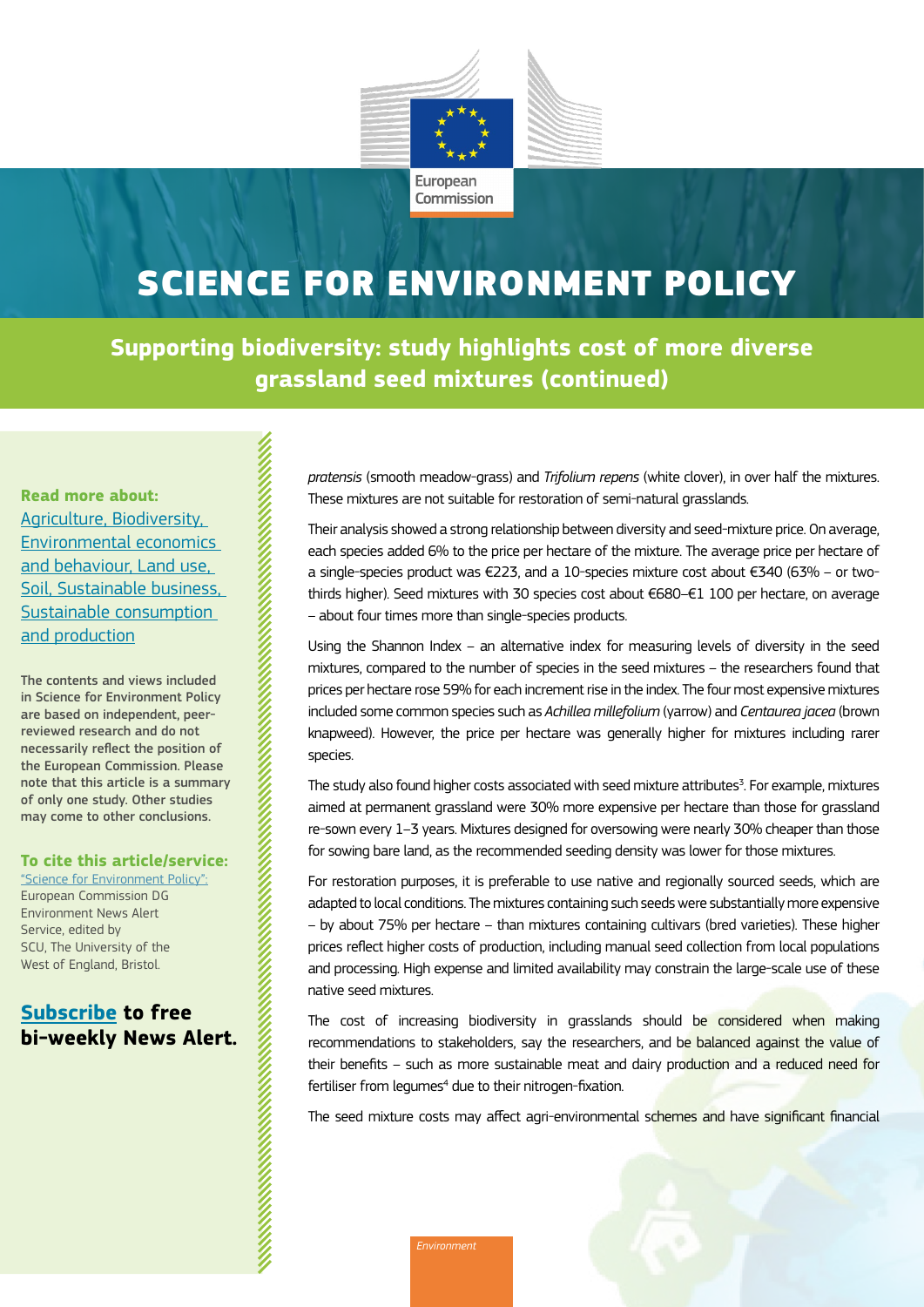

## SCIENCE FOR ENVIRONMENT POLICY

**Supporting biodiversity: study highlights cost of more diverse grassland seed mixtures (continued)**

**Read more about:**  [Agriculture,](https://ec.europa.eu/environment/integration/research/newsalert/archive/agriculture.htm) [Biodiversity,](https://ec.europa.eu/environment/integration/research/newsalert/archive/biodiversity.htm) [Environmental economics](https://ec.europa.eu/environment/integration/research/newsalert/archive/environmental-economics.htm)  [and behaviour](https://ec.europa.eu/environment/integration/research/newsalert/archive/environmental-economics.htm), [Land use](https://ec.europa.eu/environment/integration/research/newsalert/archive/land-use.htm), [Soil](https://ec.europa.eu/environment/integration/research/newsalert/archive/soil.htm), [Sustainable business](https://ec.europa.eu/environment/integration/research/newsalert/archive/sustainable-business.htm), [Sustainable consumption](https://ec.europa.eu/environment/integration/research/newsalert/archive/sustainable-consumption.htm)  [and production](https://ec.europa.eu/environment/integration/research/newsalert/archive/sustainable-consumption.htm)

The contents and views included in Science for Environment Policy are based on independent, peerreviewed research and do not necessarily reflect the position of the European Commission. Please note that this article is a summary of only one study. Other studies may come to other conclusions.

#### **To cite this article/service:**

and the contract of the contract of the contract of the contract of the contract of the contract of the contract of the contract of the contract of the contract of the contract of the contract of the contract of the contra

["Science for Environment Policy"](https://ec.europa.eu/environment/integration/research/newsalert/index_en.htm): European Commission DG Environment News Alert Service, edited by SCU, The University of the West of England, Bristol.

### **[Subscribe](https://ec.europa.eu/newsroom/env/userprofile.cfm?profileAction=edit&user_id=0&service_id=1701&lang=default) to free bi-weekly News Alert.**

*pratensis* (smooth meadow-grass) and *Trifolium repens* (white clover), in over half the mixtures. These mixtures are not suitable for restoration of semi-natural grasslands.

Their analysis showed a strong relationship between diversity and seed-mixture price. On average, each species added 6% to the price per hectare of the mixture. The average price per hectare of a single-species product was €223, and a 10-species mixture cost about €340 (63% – or twothirds higher). Seed mixtures with 30 species cost about €680–€1 100 per hectare, on average – about four times more than single-species products.

Using the Shannon Index – an alternative index for measuring levels of diversity in the seed mixtures, compared to the number of species in the seed mixtures – the researchers found that prices per hectare rose 59% for each increment rise in the index. The four most expensive mixtures included some common species such as *Achillea millefolium* (yarrow) and *Centaurea jacea* (brown knapweed). However, the price per hectare was generally higher for mixtures including rarer species.

The study also found higher costs associated with seed mixture attributes<sup>3</sup>. For example, mixtures aimed at permanent grassland were 30% more expensive per hectare than those for grassland re-sown every 1–3 years. Mixtures designed for oversowing were nearly 30% cheaper than those for sowing bare land, as the recommended seeding density was lower for those mixtures.

For restoration purposes, it is preferable to use native and regionally sourced seeds, which are adapted to local conditions. The mixtures containing such seeds were substantially more expensive – by about 75% per hectare – than mixtures containing cultivars (bred varieties). These higher prices reflect higher costs of production, including manual seed collection from local populations and processing. High expense and limited availability may constrain the large-scale use of these native seed mixtures.

The cost of increasing biodiversity in grasslands should be considered when making recommendations to stakeholders, say the researchers, and be balanced against the value of their benefits – such as more sustainable meat and dairy production and a reduced need for fertiliser from legumes<sup>4</sup> due to their nitrogen-fixation.

The seed mixture costs may affect agri-environmental schemes and have significant financial

*Environment*